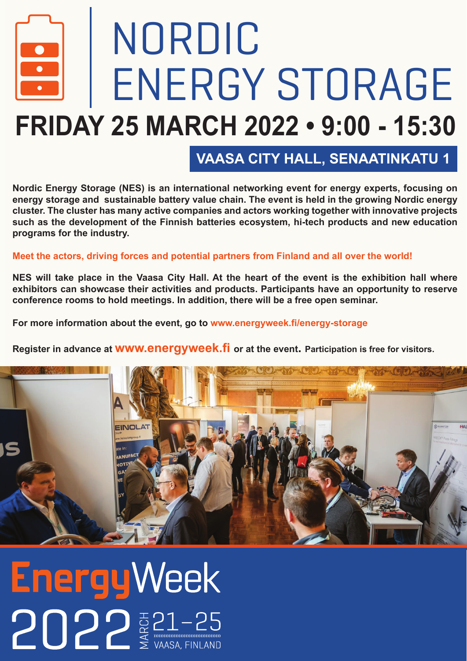## NORDIC ENERGY STORAGE **FRIDAY 25 MARCH 2022 • 9:00 - 15:30**

**VAASA CITY HALL, SENAATINKATU 1**

**Nordic Energy Storage (NES) is an international networking event for energy experts, focusing on energy storage and sustainable battery value chain. The event is held in the growing Nordic energy cluster. The cluster has many active companies and actors working together with innovative projects such as the development of the Finnish batteries ecosystem, hi-tech products and new education programs for the industry.**

**Meet the actors, driving forces and potential partners from Finland and all over the world!**

**NES will take place in the Vaasa City Hall. At the heart of the event is the exhibition hall where exhibitors can showcase their activities and products. Participants have an opportunity to reserve conference rooms to hold meetings. In addition, there will be a free open seminar.**

**For more information about the event, go to www.energyweek.fi/energy-storage**

**Register in advance at www.energyweek.fi or at the event. Participation is free for visitors.**



**EnergyWeek**  $2022 \tfrac{1}{2}$